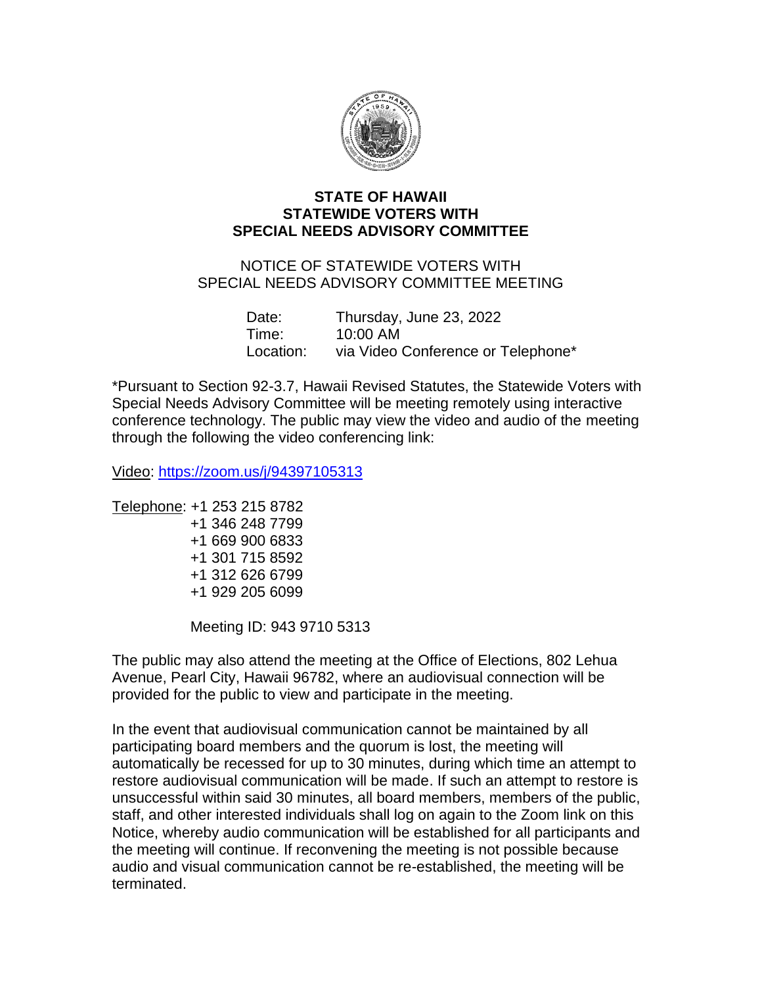

## **STATE OF HAWAII STATEWIDE VOTERS WITH SPECIAL NEEDS ADVISORY COMMITTEE**

## NOTICE OF STATEWIDE VOTERS WITH SPECIAL NEEDS ADVISORY COMMITTEE MEETING

| Date:     | Thursday, June 23, 2022            |
|-----------|------------------------------------|
| Time:     | 10:00 AM                           |
| Location: | via Video Conference or Telephone* |

\*Pursuant to Section 92-3.7, Hawaii Revised Statutes, the Statewide Voters with Special Needs Advisory Committee will be meeting remotely using interactive conference technology. The public may view the video and audio of the meeting through the following the video conferencing link:

Video: <https://zoom.us/j/94397105313>

- Telephone: +1 253 215 8782 +1 346 248 7799 +1 669 900 6833 +1 301 715 8592 +1 312 626 6799
	- +1 929 205 6099

Meeting ID: 943 9710 5313

The public may also attend the meeting at the Office of Elections, 802 Lehua Avenue, Pearl City, Hawaii 96782, where an audiovisual connection will be provided for the public to view and participate in the meeting.

In the event that audiovisual communication cannot be maintained by all participating board members and the quorum is lost, the meeting will automatically be recessed for up to 30 minutes, during which time an attempt to restore audiovisual communication will be made. If such an attempt to restore is unsuccessful within said 30 minutes, all board members, members of the public, staff, and other interested individuals shall log on again to the Zoom link on this Notice, whereby audio communication will be established for all participants and the meeting will continue. If reconvening the meeting is not possible because audio and visual communication cannot be re-established, the meeting will be terminated.